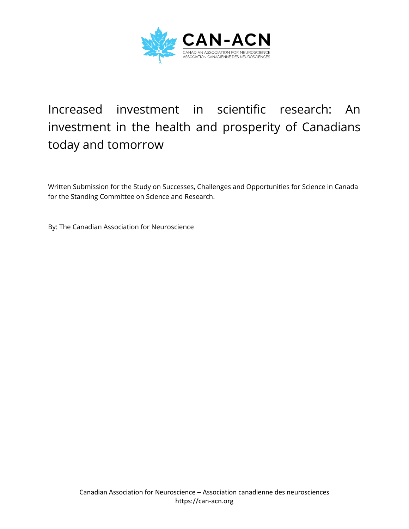

# Increased investment in scientific research: An investment in the health and prosperity of Canadians today and tomorrow

Written Submission for the Study on Successes, Challenges and Opportunities for Science in Canada for the Standing Committee on Science and Research.

By: The Canadian Association for Neuroscience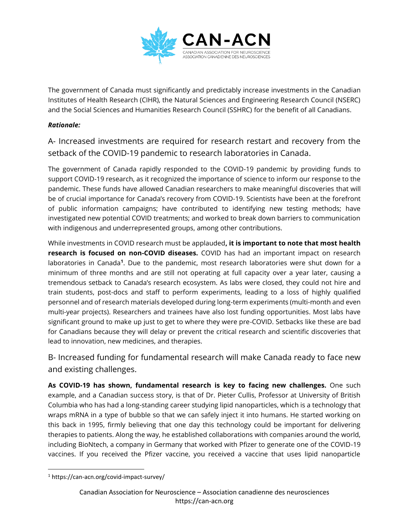

The government of Canada must significantly and predictably increase investments in the Canadian Institutes of Health Research (CIHR), the Natural Sciences and Engineering Research Council (NSERC) and the Social Sciences and Humanities Research Council (SSHRC) for the benefit of all Canadians.

#### *Rationale:*

A- Increased investments are required for research restart and recovery from the setback of the COVID-19 pandemic to research laboratories in Canada.

The government of Canada rapidly responded to the COVID-19 pandemic by providing funds to support COVID-19 research, as it recognized the importance of science to inform our response to the pandemic. These funds have allowed Canadian researchers to make meaningful discoveries that will be of crucial importance for Canada's recovery from COVID-19. Scientists have been at the forefront of public information campaigns; have contributed to identifying new testing methods; have investigated new potential COVID treatments; and worked to break down barriers to communication with indigenous and underrepresented groups, among other contributions.

While investments in COVID research must be applauded**, it is important to note that most health research is focused on non-COVID diseases.** COVID has had an important impact on research laboratories in Canada<sup>1</sup>. Due to the pandemic, most research laboratories were shut down for a minimum of three months and are still not operating at full capacity over a year later, causing a tremendous setback to Canada's research ecosystem. As labs were closed, they could not hire and train students, post-docs and staff to perform experiments, leading to a loss of highly qualified personnel and of research materials developed during long-term experiments (multi-month and even multi-year projects). Researchers and trainees have also lost funding opportunities. Most labs have significant ground to make up just to get to where they were pre-COVID. Setbacks like these are bad for Canadians because they will delay or prevent the critical research and scientific discoveries that lead to innovation, new medicines, and therapies.

B- Increased funding for fundamental research will make Canada ready to face new and existing challenges.

**As COVID-19 has shown, fundamental research is key to facing new challenges.** One such example, and a Canadian success story, is that of Dr. Pieter Cullis, Professor at University of British Columbia who has had a long-standing career studying lipid nanoparticles, which is a technology that wraps mRNA in a type of bubble so that we can safely inject it into humans. He started working on this back in 1995, firmly believing that one day this technology could be important for delivering therapies to patients. Along the way, he established collaborations with companies around the world, including BioNtech, a company in Germany that worked with Pfizer to generate one of the COVID-19 vaccines. If you received the Pfizer vaccine, you received a vaccine that uses lipid nanoparticle

<sup>1</sup> https://can-acn.org/covid-impact-survey/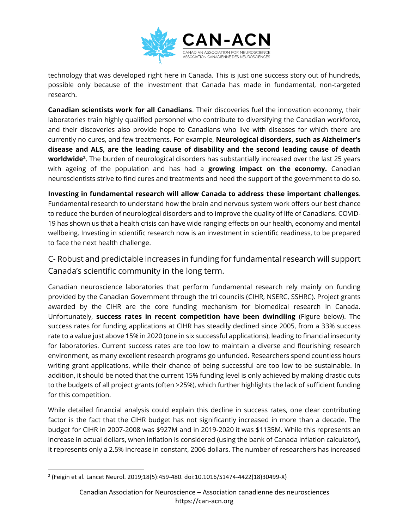

technology that was developed right here in Canada. This is just one success story out of hundreds, possible only because of the investment that Canada has made in fundamental, non-targeted research.

**Canadian scientists work for all Canadians**. Their discoveries fuel the innovation economy, their laboratories train highly qualified personnel who contribute to diversifying the Canadian workforce, and their discoveries also provide hope to Canadians who live with diseases for which there are currently no cures, and few treatments. For example, **Neurological disorders, such as Alzheimer's disease and ALS, are the leading cause of disability and the second leading cause of death worldwide<sup>2</sup>** . The burden of neurological disorders has substantially increased over the last 25 years with ageing of the population and has had a **growing impact on the economy.** Canadian neuroscientists strive to find cures and treatments and need the support of the government to do so.

**Investing in fundamental research will allow Canada to address these important challenges**. Fundamental research to understand how the brain and nervous system work offers our best chance to reduce the burden of neurological disorders and to improve the quality of life of Canadians. COVID-19 has shown us that a health crisis can have wide ranging effects on our health, economy and mental wellbeing. Investing in scientific research now is an investment in scientific readiness, to be prepared to face the next health challenge.

C- Robust and predictable increases in funding for fundamental research will support Canada's scientific community in the long term.

Canadian neuroscience laboratories that perform fundamental research rely mainly on funding provided by the Canadian Government through the tri councils (CIHR, NSERC, SSHRC). Project grants awarded by the CIHR are the core funding mechanism for biomedical research in Canada. Unfortunately, **success rates in recent competition have been dwindling** (Figure below). The success rates for funding applications at CIHR has steadily declined since 2005, from a 33% success rate to a value just above 15% in 2020 (one in six successful applications), leading to financial insecurity for laboratories. Current success rates are too low to maintain a diverse and flourishing research environment, as many excellent research programs go unfunded. Researchers spend countless hours writing grant applications, while their chance of being successful are too low to be sustainable. In addition, it should be noted that the current 15% funding level is only achieved by making drastic cuts to the budgets of all project grants (often >25%), which further highlights the lack of sufficient funding for this competition.

While detailed financial analysis could explain this decline in success rates, one clear contributing factor is the fact that the CIHR budget has not significantly increased in more than a decade. The budget for CIHR in 2007-2008 was \$927M and in 2019-2020 it was \$1135M. While this represents an increase in actual dollars, when inflation is considered (using the bank of Canada inflation calculator), it represents only a 2.5% increase in constant, 2006 dollars. The number of researchers has increased

<sup>2</sup> (Feigin et al. Lancet Neurol. 2019;18(5):459-480. doi:10.1016/S1474-4422(18)30499-X)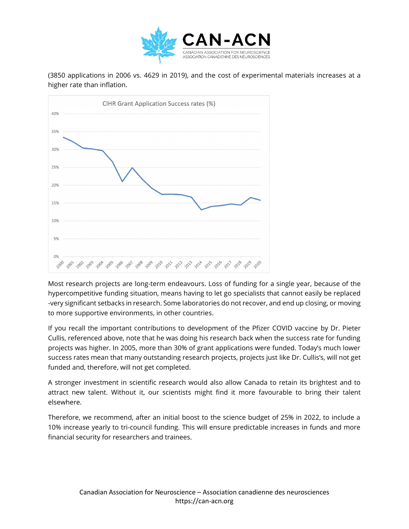

(3850 applications in 2006 vs. 4629 in 2019), and the cost of experimental materials increases at a higher rate than inflation.



Most research projects are long-term endeavours. Loss of funding for a single year, because of the hypercompetitive funding situation, means having to let go specialists that cannot easily be replaced -very significant setbacks in research. Some laboratories do not recover, and end up closing, or moving to more supportive environments, in other countries.

If you recall the important contributions to development of the Pfizer COVID vaccine by Dr. Pieter Cullis, referenced above, note that he was doing his research back when the success rate for funding projects was higher. In 2005, more than 30% of grant applications were funded. Today's much lower success rates mean that many outstanding research projects, projects just like Dr. Cullis's, will not get funded and, therefore, will not get completed.

A stronger investment in scientific research would also allow Canada to retain its brightest and to attract new talent. Without it, our scientists might find it more favourable to bring their talent elsewhere.

Therefore, we recommend, after an initial boost to the science budget of 25% in 2022, to include a 10% increase yearly to tri-council funding. This will ensure predictable increases in funds and more financial security for researchers and trainees.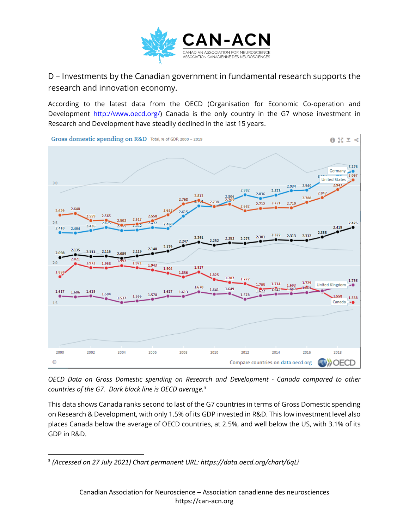

D – Investments by the Canadian government in fundamental research supports the research and innovation economy.

According to the latest data from the OECD (Organisation for Economic Co-operation and Development [http://www.oecd.org/\)](http://www.oecd.org/) Canada is the only country in the G7 whose investment in Research and Development have steadily declined in the last 15 years.



*OECD Data on Gross Domestic spending on Research and Development - Canada compared to other countries of the G7. Dark black line is OECD average.<sup>3</sup>*

This data shows Canada ranks second to last of the G7 countries in terms of Gross Domestic spending on Research & Development, with only 1.5% of its GDP invested in R&D. This low investment level also places Canada below the average of OECD countries, at 2.5%, and well below the US, with 3.1% of its GDP in R&D.

<sup>3</sup> *(Accessed on 27 July 2021) Chart permanent URL: https://data.oecd.org/chart/6qLi*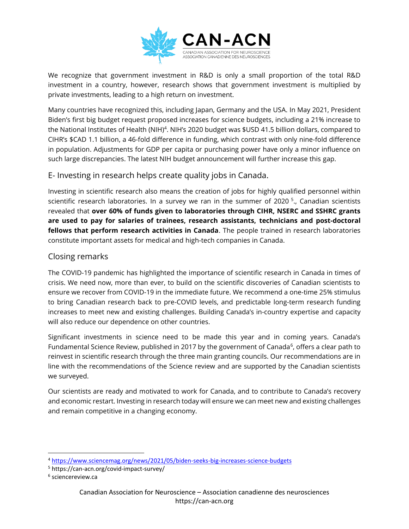

We recognize that government investment in R&D is only a small proportion of the total R&D investment in a country, however, research shows that government investment is multiplied by private investments, leading to a high return on investment.

Many countries have recognized this, including Japan, Germany and the USA. In May 2021, President Biden's first big budget request proposed increases for science budgets, including a 21% increase to the National Institutes of Health (NIH)<sup>4</sup>. NIH's 2020 budget was \$USD 41.5 billion dollars, compared to CIHR's \$CAD 1.1 billion, a 46-fold difference in funding, which contrast with only nine-fold difference in population. Adjustments for GDP per capita or purchasing power have only a minor influence on such large discrepancies. The latest NIH budget announcement will further increase this gap.

### E- Investing in research helps create quality jobs in Canada.

Investing in scientific research also means the creation of jobs for highly qualified personnel within scientific research laboratories. In a survey we ran in the summer of 2020  $^5$ , Canadian scientists revealed that **over 60% of funds given to laboratories through CIHR, NSERC and SSHRC grants are used to pay for salaries of trainees, research assistants, technicians and post-doctoral fellows that perform research activities in Canada**. The people trained in research laboratories constitute important assets for medical and high-tech companies in Canada.

### Closing remarks

The COVID-19 pandemic has highlighted the importance of scientific research in Canada in times of crisis. We need now, more than ever, to build on the scientific discoveries of Canadian scientists to ensure we recover from COVID-19 in the immediate future. We recommend a one-time 25% stimulus to bring Canadian research back to pre-COVID levels, and predictable long-term research funding increases to meet new and existing challenges. Building Canada's in-country expertise and capacity will also reduce our dependence on other countries.

Significant investments in science need to be made this year and in coming years. Canada's Fundamental Science Review, published in 2017 by the government of Canada<sup>6</sup>, offers a clear path to reinvest in scientific research through the three main granting councils. Our recommendations are in line with the recommendations of the Science review and are supported by the Canadian scientists we surveyed.

Our scientists are ready and motivated to work for Canada, and to contribute to Canada's recovery and economic restart. Investing in research today will ensure we can meet new and existing challenges and remain competitive in a changing economy.

<sup>4</sup> <https://www.sciencemag.org/news/2021/05/biden-seeks-big-increases-science-budgets>

<sup>5</sup> https://can-acn.org/covid-impact-survey/

<sup>6</sup> sciencereview.ca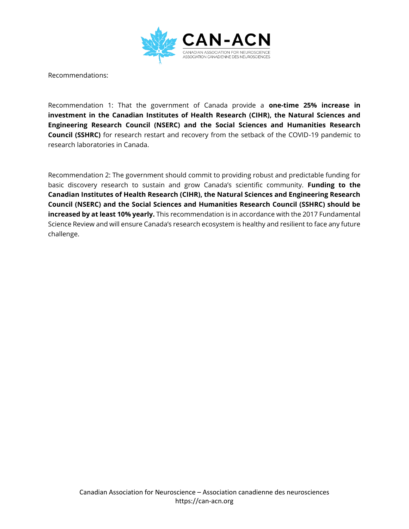

Recommendations:

Recommendation 1: That the government of Canada provide a **one-time 25% increase in investment in the Canadian Institutes of Health Research (CIHR), the Natural Sciences and Engineering Research Council (NSERC) and the Social Sciences and Humanities Research Council (SSHRC)** for research restart and recovery from the setback of the COVID-19 pandemic to research laboratories in Canada.

Recommendation 2: The government should commit to providing robust and predictable funding for basic discovery research to sustain and grow Canada's scientific community. **Funding to the Canadian Institutes of Health Research (CIHR), the Natural Sciences and Engineering Research Council (NSERC) and the Social Sciences and Humanities Research Council (SSHRC) should be increased by at least 10% yearly.** This recommendation is in accordance with the 2017 Fundamental Science Review and will ensure Canada's research ecosystem is healthy and resilient to face any future challenge.